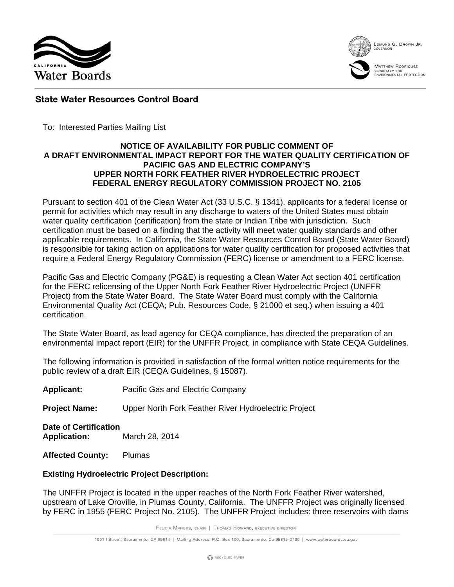



EDMUND G. BROWN JR.



MATTHEW RODRIQUEZ SECRETARY FOR<br>ENVIRONMENTAL PROTECTION

# **State Water Resources Control Board**

To: Interested Parties Mailing List

### **NOTICE OF AVAILABILITY FOR PUBLIC COMMENT OF A DRAFT ENVIRONMENTAL IMPACT REPORT FOR THE WATER QUALITY CERTIFICATION OF PACIFIC GAS AND ELECTRIC COMPANY'S UPPER NORTH FORK FEATHER RIVER HYDROELECTRIC PROJECT FEDERAL ENERGY REGULATORY COMMISSION PROJECT NO. 2105**

Pursuant to section 401 of the Clean Water Act (33 U.S.C. § 1341), applicants for a federal license or permit for activities which may result in any discharge to waters of the United States must obtain water quality certification (certification) from the state or Indian Tribe with jurisdiction. Such certification must be based on a finding that the activity will meet water quality standards and other applicable requirements. In California, the State Water Resources Control Board (State Water Board) is responsible for taking action on applications for water quality certification for proposed activities that require a Federal Energy Regulatory Commission (FERC) license or amendment to a FERC license.

Pacific Gas and Electric Company (PG&E) is requesting a Clean Water Act section 401 certification for the FERC relicensing of the Upper North Fork Feather River Hydroelectric Project (UNFFR Project) from the State Water Board. The State Water Board must comply with the California Environmental Quality Act (CEQA; Pub. Resources Code, § 21000 et seq.) when issuing a 401 certification.

The State Water Board, as lead agency for CEQA compliance, has directed the preparation of an environmental impact report (EIR) for the UNFFR Project, in compliance with State CEQA Guidelines.

The following information is provided in satisfaction of the formal written notice requirements for the public review of a draft EIR (CEQA Guidelines, § 15087).

**Applicant:** Pacific Gas and Electric Company

**Project Name:** Upper North Fork Feather River Hydroelectric Project

**Date of Certification Application:** March 28, 2014

**Affected County:** Plumas

# **Existing Hydroelectric Project Description:**

The UNFFR Project is located in the upper reaches of the North Fork Feather River watershed, upstream of Lake Oroville, in Plumas County, California. The UNFFR Project was originally licensed by FERC in 1955 (FERC Project No. 2105). The UNFFR Project includes: three reservoirs with dams

FELICIA MARCUS, CHAIR | THOMAS HOWARD, EXECUTIVE DIRECTOR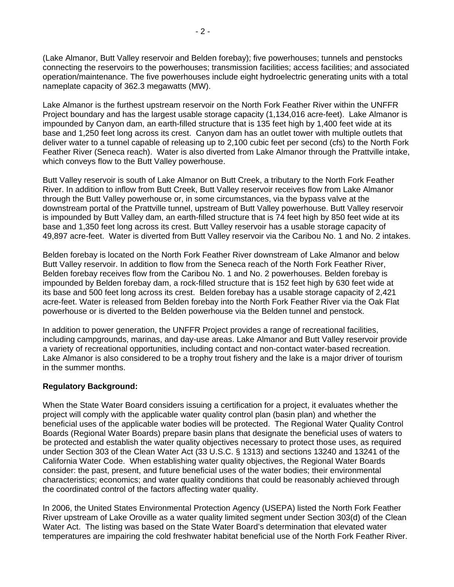(Lake Almanor, Butt Valley reservoir and Belden forebay); five powerhouses; tunnels and penstocks connecting the reservoirs to the powerhouses; transmission facilities; access facilities; and associated operation/maintenance. The five powerhouses include eight hydroelectric generating units with a total nameplate capacity of 362.3 megawatts (MW).

Lake Almanor is the furthest upstream reservoir on the North Fork Feather River within the UNFFR Project boundary and has the largest usable storage capacity (1,134,016 acre-feet). Lake Almanor is impounded by Canyon dam, an earth-filled structure that is 135 feet high by 1,400 feet wide at its base and 1,250 feet long across its crest. Canyon dam has an outlet tower with multiple outlets that deliver water to a tunnel capable of releasing up to 2,100 cubic feet per second (cfs) to the North Fork Feather River (Seneca reach). Water is also diverted from Lake Almanor through the Prattville intake, which conveys flow to the Butt Valley powerhouse.

Butt Valley reservoir is south of Lake Almanor on Butt Creek, a tributary to the North Fork Feather River. In addition to inflow from Butt Creek, Butt Valley reservoir receives flow from Lake Almanor through the Butt Valley powerhouse or, in some circumstances, via the bypass valve at the downstream portal of the Prattville tunnel, upstream of Butt Valley powerhouse. Butt Valley reservoir is impounded by Butt Valley dam, an earth-filled structure that is 74 feet high by 850 feet wide at its base and 1,350 feet long across its crest. Butt Valley reservoir has a usable storage capacity of 49,897 acre-feet. Water is diverted from Butt Valley reservoir via the Caribou No. 1 and No. 2 intakes.

Belden forebay is located on the North Fork Feather River downstream of Lake Almanor and below Butt Valley reservoir. In addition to flow from the Seneca reach of the North Fork Feather River, Belden forebay receives flow from the Caribou No. 1 and No. 2 powerhouses. Belden forebay is impounded by Belden forebay dam, a rock-filled structure that is 152 feet high by 630 feet wide at its base and 500 feet long across its crest. Belden forebay has a usable storage capacity of 2,421 acre-feet. Water is released from Belden forebay into the North Fork Feather River via the Oak Flat powerhouse or is diverted to the Belden powerhouse via the Belden tunnel and penstock.

In addition to power generation, the UNFFR Project provides a range of recreational facilities, including campgrounds, marinas, and day-use areas. Lake Almanor and Butt Valley reservoir provide a variety of recreational opportunities, including contact and non-contact water-based recreation. Lake Almanor is also considered to be a trophy trout fishery and the lake is a major driver of tourism in the summer months.

# **Regulatory Background:**

When the State Water Board considers issuing a certification for a project, it evaluates whether the project will comply with the applicable water quality control plan (basin plan) and whether the beneficial uses of the applicable water bodies will be protected. The Regional Water Quality Control Boards (Regional Water Boards) prepare basin plans that designate the beneficial uses of waters to be protected and establish the water quality objectives necessary to protect those uses, as required under Section 303 of the Clean Water Act (33 U.S.C. § 1313) and sections 13240 and 13241 of the California Water Code. When establishing water quality objectives, the Regional Water Boards consider: the past, present, and future beneficial uses of the water bodies; their environmental characteristics; economics; and water quality conditions that could be reasonably achieved through the coordinated control of the factors affecting water quality.

In 2006, the United States Environmental Protection Agency (USEPA) listed the North Fork Feather River upstream of Lake Oroville as a water quality limited segment under Section 303(d) of the Clean Water Act. The listing was based on the State Water Board's determination that elevated water temperatures are impairing the cold freshwater habitat beneficial use of the North Fork Feather River.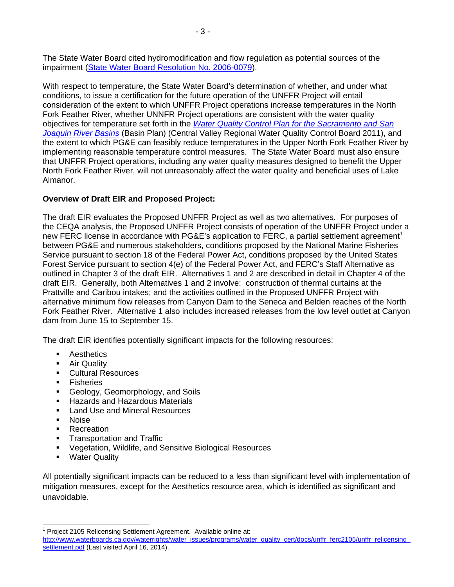The State Water Board cited hydromodification and flow regulation as potential sources of the impairment [\(State Water Board Resolution No. 2006-0079\)](http://www.waterboards.ca.gov/board_decisions/adopted_orders/resolutions/2006/rs2006_0079.pdf).

With respect to temperature, the State Water Board's determination of whether, and under what conditions, to issue a certification for the future operation of the UNFFR Project will entail consideration of the extent to which UNFFR Project operations increase temperatures in the North Fork Feather River, whether UNNFR Project operations are consistent with the water quality objectives for temperature set forth in the *[Water Quality Control Plan for the Sacramento and San](http://www.waterboards.ca.gov/centralvalley/water_issues/basin_plans/sacsjr.pdf)  [Joaquin River Basins](http://www.waterboards.ca.gov/centralvalley/water_issues/basin_plans/sacsjr.pdf)* (Basin Plan) (Central Valley Regional Water Quality Control Board 2011), and the extent to which PG&E can feasibly reduce temperatures in the Upper North Fork Feather River by implementing reasonable temperature control measures. The State Water Board must also ensure that UNFFR Project operations, including any water quality measures designed to benefit the Upper North Fork Feather River, will not unreasonably affect the water quality and beneficial uses of Lake Almanor.

# **Overview of Draft EIR and Proposed Project:**

The draft EIR evaluates the Proposed UNFFR Project as well as two alternatives. For purposes of the CEQA analysis, the Proposed UNFFR Project consists of operation of the UNFFR Project under a new FERC license in accordance with PG&E's application to FERC, a partial settlement agreement<sup>[1](#page-2-0)</sup> between PG&E and numerous stakeholders, conditions proposed by the National Marine Fisheries Service pursuant to section 18 of the Federal Power Act, conditions proposed by the United States Forest Service pursuant to section 4(e) of the Federal Power Act, and FERC's Staff Alternative as outlined in Chapter 3 of the draft EIR. Alternatives 1 and 2 are described in detail in Chapter 4 of the draft EIR. Generally, both Alternatives 1 and 2 involve: construction of thermal curtains at the Prattville and Caribou intakes; and the activities outlined in the Proposed UNFFR Project with alternative minimum flow releases from Canyon Dam to the Seneca and Belden reaches of the North Fork Feather River. Alternative 1 also includes increased releases from the low level outlet at Canyon dam from June 15 to September 15.

The draft EIR identifies potentially significant impacts for the following resources:

- **Aesthetics**
- **Air Quality**
- **Cultural Resources**
- **Fisheries**
- Geology, Geomorphology, and Soils
- Hazards and Hazardous Materials
- **Land Use and Mineral Resources**
- Noise
- **Recreation**
- **Transportation and Traffic**
- Vegetation, Wildlife, and Sensitive Biological Resources
- **•** Water Quality

All potentially significant impacts can be reduced to a less than significant level with implementation of mitigation measures, except for the Aesthetics resource area, which is identified as significant and unavoidable.

<span id="page-2-0"></span> $1$  Project 2105 Relicensing Settlement Agreement. Available online at:

[http://www.waterboards.ca.gov/waterrights/water\\_issues/programs/water\\_quality\\_cert/docs/unffr\\_ferc2105/unffr\\_relicensing\\_](http://www.waterboards.ca.gov/waterrights/water_issues/programs/water_quality_cert/docs/unffr_ferc2105/unffr_relicensing_settlement.pdf) [settlement.pdf](http://www.waterboards.ca.gov/waterrights/water_issues/programs/water_quality_cert/docs/unffr_ferc2105/unffr_relicensing_settlement.pdf) (Last visited April 16, 2014).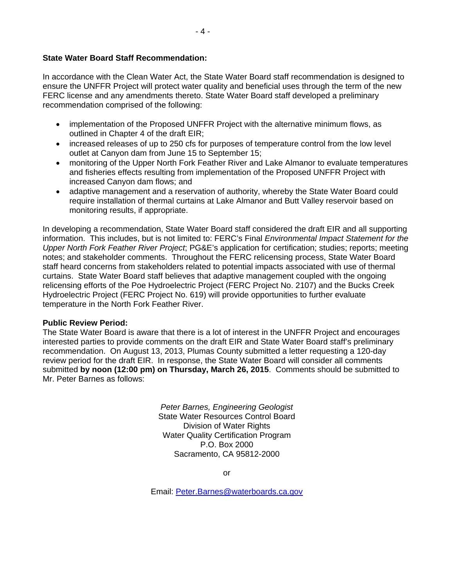# **State Water Board Staff Recommendation:**

In accordance with the Clean Water Act, the State Water Board staff recommendation is designed to ensure the UNFFR Project will protect water quality and beneficial uses through the term of the new FERC license and any amendments thereto. State Water Board staff developed a preliminary recommendation comprised of the following:

- implementation of the Proposed UNFFR Project with the alternative minimum flows, as outlined in Chapter 4 of the draft EIR;
- increased releases of up to 250 cfs for purposes of temperature control from the low level outlet at Canyon dam from June 15 to September 15;
- monitoring of the Upper North Fork Feather River and Lake Almanor to evaluate temperatures and fisheries effects resulting from implementation of the Proposed UNFFR Project with increased Canyon dam flows; and
- adaptive management and a reservation of authority, whereby the State Water Board could require installation of thermal curtains at Lake Almanor and Butt Valley reservoir based on monitoring results, if appropriate.

In developing a recommendation, State Water Board staff considered the draft EIR and all supporting information. This includes, but is not limited to: FERC's Final *Environmental Impact Statement for the Upper North Fork Feather River Project*; PG&E's application for certification; studies; reports; meeting notes; and stakeholder comments. Throughout the FERC relicensing process, State Water Board staff heard concerns from stakeholders related to potential impacts associated with use of thermal curtains. State Water Board staff believes that adaptive management coupled with the ongoing relicensing efforts of the Poe Hydroelectric Project (FERC Project No. 2107) and the Bucks Creek Hydroelectric Project (FERC Project No. 619) will provide opportunities to further evaluate temperature in the North Fork Feather River.

#### **Public Review Period:**

The State Water Board is aware that there is a lot of interest in the UNFFR Project and encourages interested parties to provide comments on the draft EIR and State Water Board staff's preliminary recommendation. On August 13, 2013, Plumas County submitted a letter requesting a 120-day review period for the draft EIR. In response, the State Water Board will consider all comments submitted **by noon (12:00 pm) on Thursday, March 26, 2015**. Comments should be submitted to Mr. Peter Barnes as follows:

> *Peter Barnes, Engineering Geologist* State Water Resources Control Board Division of Water Rights Water Quality Certification Program P.O. Box 2000 Sacramento, CA 95812-2000

> > or

Email: [Peter.Barnes@waterboards.ca.gov](mailto:Peter.Barnes@waterboards.ca.gov)